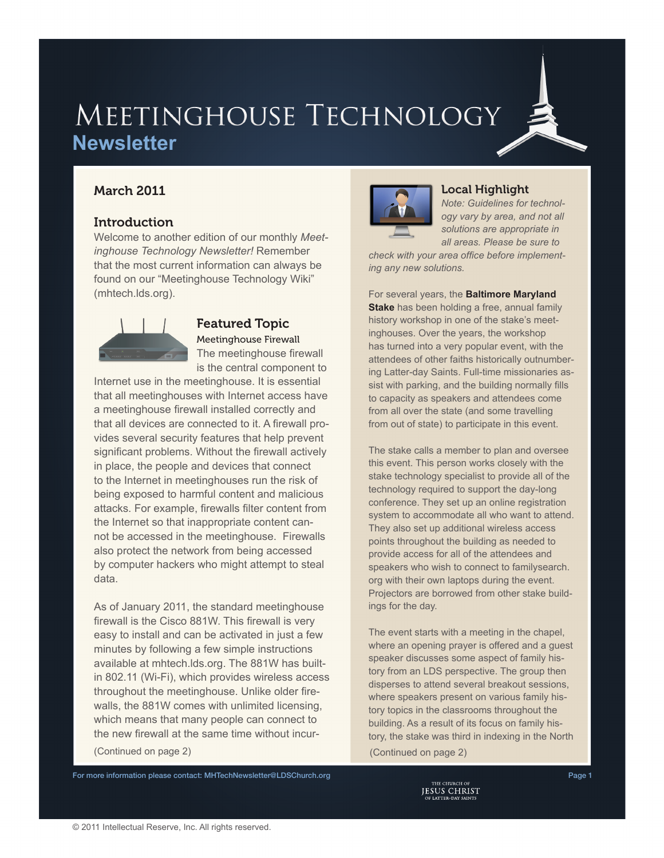# MEETINGHOUSE TECHNOLOGY **Newsletter**

# March 2011

## **Introduction**

Welcome to another edition of our monthly *Meetinghouse Technology Newsletter!* Remember that the most current information can always be found on our "Meetinghouse Technology Wiki" [\(mhtech.lds.org\)](http://mhtech.lds.org).



### Featured Topic Meetinghouse Firewall The meetinghouse firewall is the central component to

Internet use in the meetinghouse. It is essential that all meetinghouses with Internet access have a meetinghouse firewall installed correctly and that all devices are connected to it. A firewall provides several security features that help prevent significant problems. Without the firewall actively in place, the people and devices that connect to the Internet in meetinghouses run the risk of being exposed to harmful content and malicious attacks. For example, firewalls filter content from the Internet so that inappropriate content cannot be accessed in the meetinghouse. Firewalls also protect the network from being accessed by computer hackers who might attempt to steal data.

As of January 2011, the standard meetinghouse firewall is the Cisco 881W. This firewall is very easy to install and can be activated in just a few minutes by following a few simple instructions available at mhtech.lds.org. The 881W has builtin 802.11 (Wi-Fi), which provides wireless access throughout the meetinghouse. Unlike older firewalls, the 881W comes with unlimited licensing, which means that many people can connect to the new firewall at the same time without incur-(Continued on page 2) (Continued on page 2)



### Local Highlight

*Note: Guidelines for technology vary by area, and not all solutions are appropriate in all areas. Please be sure to* 

*check with your area office before implementing any new solutions.*

For several years, the **Baltimore Maryland Stake** has been holding a free, annual family history workshop in one of the stake's meetinghouses. Over the years, the workshop has turned into a very popular event, with the attendees of other faiths historically outnumbering Latter-day Saints. Full-time missionaries assist with parking, and the building normally fills to capacity as speakers and attendees come from all over the state (and some travelling from out of state) to participate in this event.

The stake calls a member to plan and oversee this event. This person works closely with the stake technology specialist to provide all of the technology required to support the day-long conference. They set up an online registration system to accommodate all who want to attend. They also set up additional wireless access points throughout the building as needed to provide access for all of the attendees and speakers who wish to connect to familysearch. org with their own laptops during the event. Projectors are borrowed from other stake buildings for the day.

The event starts with a meeting in the chapel, where an opening prayer is offered and a guest speaker discusses some aspect of family history from an LDS perspective. The group then disperses to attend several breakout sessions, where speakers present on various family history topics in the classrooms throughout the building. As a result of its focus on family history, the stake was third in indexing in the North

For more information please contact: [MHTechNewsletter@LDSChurch.org](mailto:mhtechnewsletter%40ldschurch.org?subject=)<br>Page 1<br>JESUS CHRIST